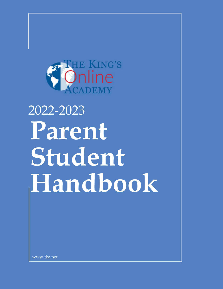

# 2022-2023 Parent Student Handbook

www.tka.net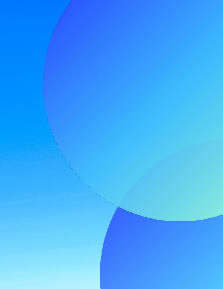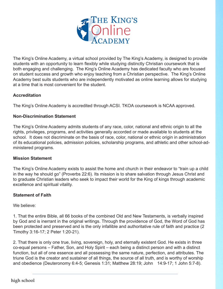

The King's Online Academy, a virtual school provided by The King's Academy, is designed to provide students with an opportunity to learn flexibly while studying distinctly Christian coursework that is both engaging and challenging. The King's Online Academy has dedicated faculty who are focused on student success and growth who enjoy teaching from a Christian perspective.  The King's Online Academy best suits students who are independently motivated as online learning allows for studying at a time that is most convenient for the student.

# **Accreditation**

The King's Online Academy is accredited through ACSI. TKOA coursework is NCAA approved.

#### **Non-Discrimination Statement**

The King's Online Academy admits students of any race, color, national and ethnic origin to all the rights, privileges, programs, and activities generally accorded or made available to students at the school. It does not discriminate on the basis of race, color, national or ethnic origin in administration of its educational policies, admission policies, scholarship programs, and athletic and other school-administered programs.

#### **Mission Statement**

The King's Online Academy exists to assist the home and church in their endeavor to "train up a child in the way he should go" (Proverbs 22:6). Its mission is to share salvation through Jesus Christ and to graduate Christian leaders who seek to impact their world for the King of kings through academic excellence and spiritual vitality.

# **Statement of Faith**

We believe:

1. That the entire Bible, all 66 books of the combined Old and New Testaments, is verbally inspired by God and is inerrant in the original writings. Through the providence of God, the Word of God has been protected and preserved and is the only infallible and authoritative rule of faith and practice (2 Timothy 3:16-17; 2 Peter 1:20-21).

2. That there is only one true, living, sovereign, holy, and eternally existent God. He exists in three co-equal persons – Father, Son, and Holy Spirit – each being a distinct person and with a distinct function, but all of one essence and all possessing the same nature, perfection, and attributes. The triune God is the creator and sustainer of all things, the source of all truth, and is worthy of worship and obedience (Deuteronomy 6:4-5; Genesis 1:31; Matthew 28:19; John 14:9-17; 1 John 5:7-8).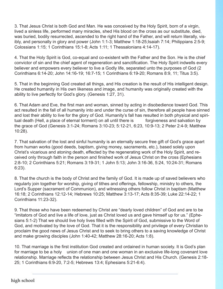3. That Jesus Christ is both God and Man. He was conceived by the Holy Spirit, born of a virgin, lived a sinless life, performed many miracles, shed His blood on the cross as our substitute, died, was buried, bodily resurrected, ascended to the right hand of the Father, and will return literally, visibly, and personally in glory and power (John 1:1-3; Matthew 1:18-25;Isaiah 7:14; Philippians 2:5-9; Colossians 1:15; 1 Corinthians 15:1-8; Acts 1:11; 1 Thessalonians 4:14-17).

4. That the Holy Spirit is God, co-equal and co-existent with the Father and the Son. He is the chief convictor of sin and the chief agent of regeneration and sanctification. The Holy Spirit indwells every believer and empowers every believer to live a Godly life, separated unto the purposes of God (2 Corinthians 6:14-20; John 14:16-19; 16:7-15; 1 Corinthians 6:19-20; Romans 8:9, 11; Titus 3:5).

5. That in the beginning God created all things, and His creation is the result of His intelligent design. He created humanity in His own likeness and image, and humanity was originally created with the ability to live perfectly for God's glory. (Genesis 1:27, 31).

6. That Adam and Eve, the first man and woman, sinned by acting in disobedience toward God. This act resulted in the fall of all humanity into and under the curse of sin, therefore all people have sinned and lost their ability to live for the glory of God. Humanity's fall has resulted in both physical and spiritual death (Hell, a place of eternal torment) on all until there is forgiveness and salvation by the grace of God (Genesis 3:1-24; Romans 3:10-23; 5:12-21, 6:23, 10:9-13; 2 Peter 2:4-9; Matthew 10:28).

7. That salvation of the lost and sinful humanity is an eternally secure free gift of God's grace apart from human works (good deeds, baptism, giving money, sacraments, etc.), based solely upon Christ's vicarious and atoning death, effected by the regenerating work of the Holy Spirit, and received only through faith in the person and finished work of Jesus Christ on the cross (Ephesians 2:8-10; 2 Corinthians 5:21; Romans 3:19-31; 1 John 5:13; John 3:16-36, 5:24, 10:24-31; Romans 6:23).

8. That the church is the body of Christ and the family of God. It is made up of saved believers who regularly join together for worship, giving of tithes and offerings, fellowship, ministry to others, the Lord's Supper (sacrament of Communion), and witnessing others follow Christ in baptism (Matthew 16:18; 2 Corinthians 12:12-14; Hebrews 10:25; Matthew 3:13-17; Acts 8:35-39; Luke 22:14-22; 1 Corinthians 11:23-32).

9. That those who have been redeemed by Christ are "dearly loved children" of God and are to be "imitators of God and live a life of love, just as Christ loved us and gave himself up for us." (Ephesians 5:1-2) That we should live holy lives filled with the Spirit of God, submissive to the Word of God, and motivated by the love of God. That it is the responsibility and privilege of every Christian to proclaim the good news of Jesus Christ and to seek to bring others to a saving knowledge of Christ and make growing disciples (John 1:40-42; Matthew 28:16-20; Acts 1:8).

10. That marriage is the first institution God created and ordained in human society. It is God's plan for marriage to be a holy union of one man and one woman in an exclusive life-long covenant love relationship. Marriage reflects the relationship between Jesus Christ and His Church. (Genesis 2:18- 25; 1 Corinthians 6:9-20, 7:2-5; Hebrews 13:4; Ephesians 5:21-6:4).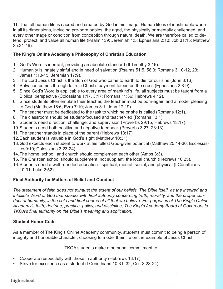11. That all human life is sacred and created by God in his image. Human life is of inestimable worth in all its dimensions, including pre-born babies, the aged, the physically or mentally challenged, and every other stage or condition from conception through natural death. We are therefore called to defend, protect, and value all human life (Psalm 139; Jeremiah 1:5; Ephesians 2:10; Job 31:15; Matthew 25:31-46).

# **The King's Online Academy's Philosophy of Christian Education**

- 1. God's Word is inerrant, providing an absolute standard (II Timothy 3:16).
- 2. Humanity is innately sinful and in need of salvation (Psalms 51:5, 58:3; Romans 3:10-12, 23; James 1:13-15; Jeremiah 17:9).
- 3. The Lord Jesus Christ is the Son of God who came to earth to die for our sins (John 3:16).
- 4. Salvation comes through faith in Christ's payment for sin on the cross (Ephesians 2:8-9).
- 5. Since God's Word is applicable to every area of mankind's life, all subjects must be taught from a Biblical perspective (Colossians 1:17, 3:17; Romans 11:36; Hebrews 4:12).
- 6. Since students often emulate their teacher, the teacher must be born-again and a model pleasing to God (Matthew 18:6; Ezra 7:10; James 3:1; John 17:19).
- 7. The teacher must be dedicated to the task to which he or she is called (Romans 12:1).
- 8. The classroom should be student-focused and teacher-led (Romans 13:1).
- 9. Students need direction, challenge, and supervision (Proverbs 29:15, Hebrews 13:17).
- 10.Students need both positive and negative feedback (Proverbs 3:27; 23:13).
- 11. The teacher stands in place of the parent (Hebrews 13:17).
- 12.Each student is valuable in God's sight (Matthew 10:31).
- 13.God expects each student to work at his fullest God-given potential (Matthew 25:14-30; Ecclesiastes9:10; Colossians 3:23-24).
- 14.The home, school, and church should complement each other (Amos 3:3).
- 15.The Christian school should supplement, not supplant, the local church (Hebrews 10:25).
- 16.Students need a well-rounded education spiritual, mental, social, and physical (I Corinthians 10:31; Luke 2:52).

# **Final Authority for Matters of Belief and Conduct**

*The statement of faith does not exhaust the extent of our beliefs. The Bible itself, as the inspired and infallible Word of God that speaks with final authority concerning truth, morality, and the proper conduct of humanity, is the sole and final source of all that we believe. For purposes of The King's Online Academy's faith, doctrine, practice, policy, and discipline, The King's Academy Board of Governors is TKOA's final authority on the Bible's meaning and application.*

# **Student Honor Code**

As a member of The King's Online Academy community, students must commit to being a person of integrity and honorable character, choosing to model their life on the example of Jesus Christ.

TKOA students make a personal commitment to:

- Cooperate respectfully with those in authority (Hebrews 13:17).
- Strive for excellence as a student (I Corinthians 10:31, 32, Col. 3:23-24).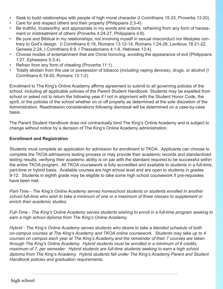- Seek to build relationships with people of high moral character (I Corinthians 15:33, Proverbs 13:20).
- Care for and respect others and their property (Philippians 2:3-4).
- Be truthful, trustworthy, and appropriate in my words and actions, refraining from any form of harassment or mistreatment of others (Proverbs 4:24-27, Philippians 4:8).
- Be pure and Biblical in my relationships, not involving myself in sexual misconduct nor lifestyles contrary to God's design. (I Corinthians 6:18, Romans 13:12-14, Romans 1:24-28, Leviticus 18:21-22, Genesis 2:24, I Corinthians 6:9, I Thessalonians 4:1-8, Hebrews 13:4).
- Choose modes of entertainment that are Christ honoring, avoiding the appearance of evil (Philippians 1:27, Ephesians 5:3-4).
- Refrain from any form of cheating (Proverbs 11:1).
- Totally abstain from the use or possession of tobacco (including vaping devices), drugs, or alcohol (I Corinthians 6:19-20, Romans 13:1-2).

Enrollment to The King's Online Academy affirms agreement to submit to all governing policies of the school, including all applicable policies of the Parent Student Handbook. Students may be expelled from school or asked not to return the following year if I not in alignment with the Student Honor Code, the spirit, or the policies of the school whether on or off property as determined at the sole discretion of the Administration. Readmission considerations following dismissal will be determined on a case-by-case basis.

The Parent Student Handbook does not contractually bind The King's Online Academy and is subject to change without notice by a decision of The King's Online Academy administration.

# **Enrollment and Registration**

Students must complete an application for admission for enrollment to TKOA. Applicants can choose to complete the TKOA admissions testing process or may provide their academic records and standardized testing results; verifying their academic ability is on par with the standard required to be successful within the entire TKOA program. All TKOA coursework is fully accredited and available to students in a full-time, part-time or hybrid basis. Available courses are high school level and are open to students in grades 9-12. Students in eighth grade may be eligible to take some high school coursework if pre-requisites have been met.

*Part-Time* - *The King's Online Academy serves homeschool students or students enrolled in another school full-time who wish to take a minimum of one or a maximum of three classes to supplement or enrich their academic studies.* 

*Full-Time* - *The King's Online Academy serves students wishing to enroll in a full-time program seeking to earn a high school diploma from The King's Online Academy.* 

*Hybrid* - *The King's Online Academy serves students who desire to take a blended schedule of both on-campus courses at The King's Academy and TKOA online coursework. Students may take up to 4 courses on campus each year at The King's Academy and the remainder of their 7 courses are taken through The King's Online Academy. Hybrid students must be enrolled in a minimum of 6 credits, maximum of 7, per semester. Hybrid students are full-time students seeking to earn a high school diploma from The King's Academy. Hybrid students fall under The King's Academy Parent and Student Handbook policies and graduation requirements.*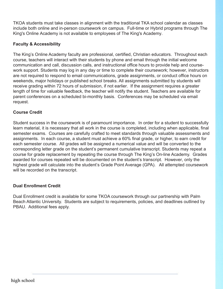TKOA students must take classes in alignment with the traditional TKA school calendar as classes include both online and in-person coursework on campus. Full-time or Hybrid programs through The King's Online Academy is not available to employees of The King's Academy.

# **Faculty & Accessibility**

The King's Online Academy faculty are professional, certified, Christian educators. Throughout each course, teachers will interact with their students by phone and email through the initial welcome communication and call, discussion calls, and instructional office hours to provide help and coursework support. Students may log in any day or time to complete their coursework; however, instructors are not required to respond to email communications, grade assignments, or conduct office hours on weekends, major holidays or published school breaks. All assignments submitted by students will receive grading within 72 hours of submission, if not earlier. If the assignment requires a greater length of time for valuable feedback, the teacher will notify the student. Teachers are available for parent conferences on a scheduled bi-monthly basis. Conferences may be scheduled via email request.

# **Course Credit**

Student success in the coursework is of paramount importance. In order for a student to successfully learn material, it is necessary that all work in the course is completed, including when applicable, final semester exams. Courses are carefully crafted to meet standards through valuable assessments and assignments. In each course, a student must achieve a 60% final grade, or higher, to earn credit for each semester course. All grades will be assigned a numerical value and will be converted to the corresponding letter grade on the student's permanent cumulative transcript. Students may repeat a course for grade replacement by repeating the course through The King's On-line Academy. Grades awarded for courses repeated will be documented on the student's transcript. However, only the highest grade will calculate into the student's Grade Point Average (GPA). All attempted coursework will be recorded on the transcript.

# **Dual Enrollment Credit**

Dual Enrollment credit is available for some TKOA coursework through our partnership with Palm Beach Atlantic University. Students are subject to requirements, policies, and deadlines outlined by PBAU. Additional fees apply.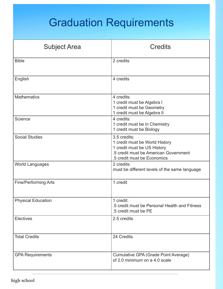# Graduation Requirements

| <b>Subject Area</b>         | <b>Credits</b>                                                                                                                                        |  |
|-----------------------------|-------------------------------------------------------------------------------------------------------------------------------------------------------|--|
| <b>Bible</b>                | 2 credits                                                                                                                                             |  |
| English                     | 4 credits                                                                                                                                             |  |
| <b>Mathematics</b>          | 4 credits:<br>1 credit must be Algebra I<br>1 credit must be Geometry<br>1 credit must be Algebra II                                                  |  |
| Science                     | 4 credits:<br>1 credit must be in Chemistry<br>1 credit must be Biology                                                                               |  |
| <b>Social Studies</b>       | 3.5 credits:<br>1 credit must be World History<br>1 credit must be US History<br>.5 credit must be American Government<br>.5 credit must be Economics |  |
| <b>World Languages</b>      | 2 credits:<br>must be different levels of the same language                                                                                           |  |
| <b>Fine/Performing Arts</b> | 1 credit                                                                                                                                              |  |
| <b>Physical Education</b>   | 1 credit:<br>.5 credit must be Personal Health and Fitness<br>.5 credit must be PE                                                                    |  |
| Electives                   | 2.5 credits                                                                                                                                           |  |
| <b>Total Credits</b>        | 24 Credits                                                                                                                                            |  |
| <b>GPA Requirements</b>     | Cumulative GPA (Grade Point Average)<br>of 2.0 minimum on a 4.0 scale                                                                                 |  |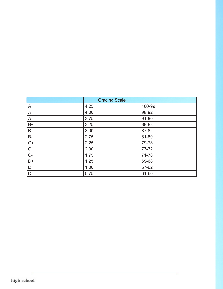|                | <b>Grading Scale</b> |        |
|----------------|----------------------|--------|
| A+             | 4.25                 | 100-99 |
| A              | 4.00                 | 98-92  |
| A-             | 3.75                 | 91-90  |
| $B+$           | 3.25                 | 89-88  |
| B              | 3.00                 | 87-82  |
| $B-$           | 2.75                 | 81-80  |
| $ C+$          | 2.25                 | 79-78  |
| $\overline{C}$ | 2.00                 | 77-72  |
| $ C -$         | 1.75                 | 71-70  |
| $ D+$          | 1.25                 | 69-68  |
| l D            | 1.00                 | 67-62  |
| D-             | 0.75                 | 61-60  |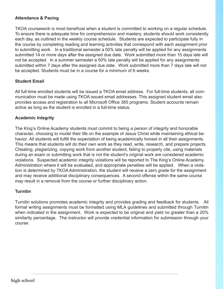# **Attendance & Pacing**

TKOA coursework is most beneficial when a student is committed to working on a regular schedule. To ensure there is adequate time for comprehension and mastery, students should work consistently each day, as outlined in the weekly course schedule. Students are expected to participate fully in the course by completing reading and learning activities that correspond with each assignment prior to submitting work. In a traditional semester a 50% late penalty will be applied for any assignments submitted 14 or more days after the assigned due date. Work submitted more than 15 days late will not be accepted. In a summer semester a 50% late penalty will be applied for any assignments submitted within 7 days after the assigned due date. Work submitted more than 7 days late will not be accepted. Students must be in a course for a minimum of 6 weeks.

# **Student Email**

All full-time enrolled students will be issued a TKOA email address. For full-time students, all communication must be made using TKOA issued email addresses. This assigned student email also provides access and registration to all Microsoft Office 365 programs. Student accounts remain active as long as the student is enrolled in a full-time status.

#### **Academic Integrity**

The King's Online Academy students must commit to being a person of integrity and honorable character, choosing to model their life on the example of Jesus Christ while maintaining ethical behavior. All students will fulfill the expectation of being academically honest in all their assignments. This means that students will do their own work as they read, write, research, and prepare projects. Cheating, plagiarizing, copying work from another student, failing to properly cite, using materials during an exam or submitting work that is not the student's original work are considered academic violations. Suspected academic integrity violations will be reported to The King's Online Academy Administration where it will be evaluated, and appropriate penalties will be applied. When a violation is determined by TKOA Administration, the student will receive a zero grade for the assignment and may receive additional disciplinary consequences. A second offense within the same course may result in a removal from the course or further disciplinary action.

#### **Turnitin**

Turnitin solutions promotes academic integrity and provides grading and feedback for students. All formal writing assignments must be formatted using MLA guidelines and submitted through Turnitin when indicated in the assignment. Work is expected to be original and yield no greater than a 20% similarity percentage. The instructor will provide credential information for submission through your course.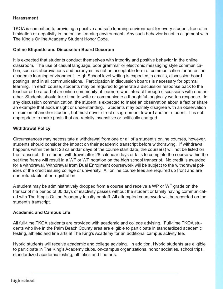# **Harassment**

TKOA is committed to providing a positive and safe learning environment for every student, free of intimidation or negativity in the online learning environment. Any such behavior is not in alignment with The King's Online Academy Student Honor Code.

# **Online Etiquette and Discussion Board Decorum**

It is expected that students conduct themselves with integrity and positive behavior in the online classroom. The use of casual language, poor grammar or electronic messaging style communication, such as abbreviations and acronyms, is not an acceptable form of communication for an online academic learning environment. High School level writing is expected in emails, discussion board postings, and in all communications. Participation in discussion boards is necessary for optimal learning. In each course, students may be required to generate a discussion response back to the teacher or be a part of an online community of learners who interact through discussions with one another. Students should take time to write or communicate a thoughtful, originally written response. In any discussion communication, the student is expected to make an observation about a fact or share an example that adds insight or understanding. Students may politely disagree with an observation or opinion of another student, but must never direct disagreement toward another student. It is not appropriate to make posts that are racially insensitive or politically charged.

#### **Withdrawal Policy**

Circumstances may necessitate a withdrawal from one or all of a student's online courses, however, students should consider the impact on their academic transcript before withdrawing. If withdrawal happens within the first 28 calendar days of the course start date, the course(s) will not be listed on the transcript. If a student withdraws after 28 calendar days or fails to complete the course within the set time frame will result in a WF or WP notation on the high school transcript. No credit is awarded for a withdrawal. Withdrawal from Dual Enrollment coursework will be subject to the withdrawal policies of the credit issuing college or university. All online course fees are required up front and are non-refundable after registration

A student may be administratively dropped from a course and receive a WP or WF grade on the transcript if a period of 30 days of inactivity passes without the student or family having communicated with The King's Online Academy faculty or staff. All attempted coursework will be recorded on the student's transcript.

#### **Academic and Campus Life**

All full-time TKOA students are provided with academic and college advising. Full-time TKOA students who live in the Palm Beach County area are eligible to participate in standardized academic testing, athletic and fine arts at The King's Academy for an additional campus activity fee.

Hybrid students will receive academic and college advising. In addition, Hybrid students are eligible to participate in The King's Academy clubs, on-campus organizations, honor societies, school trips, standardized academic testing, athletics and fine arts.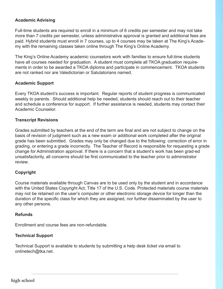#### **Academic Advising**

Full-time students are required to enroll in a minimum of 6 credits per semester and may not take more than 7 credits per semester, unless administrative approval is granted and additional fees are paid. Hybrid students must enroll in 7 courses, up to 4 courses may be taken at The King's Academy with the remaining classes taken online through The King's Online Academy.

The King's Online Academy academic counselors work with families to ensure full-time students have all courses needed for graduation. A student must complete all TKOA graduation requirements in order to be awarded a TKOA diploma and participate in commencement. TKOA students are not ranked nor are Valedictorian or Salutatorians named.

#### **Academic Support**

Every TKOA student's success is important. Regular reports of student progress is communicated weekly to parents. Should additional help be needed, students should reach out to their teacher and schedule a conference for support. If further assistance is needed, students may contact their Academic Counselor.

#### **Transcript Revisions**

Grades submitted by teachers at the end of the term are final and are not subject to change on the basis of revision of judgment such as a new exam or additional work completed after the original grade has been submitted. Grades may only be changed due to the following: correction of error in grading, or entering a grade incorrectly. The Teacher of Record is responsible for requesting a grade change for Administration approval. If there is a concern that a student's work has been grad-ed unsatisfactorily, all concerns should be first communicated to the teacher prior to administrator review.

#### **Copyright**

Course materials available through Canvas are to be used only by the student and in accordance with the United States Copyright Act, Title 17 of the U.S. Code. Protected materials course materials may not be retained on the user's computer or other electronic storage device for longer than the duration of the specific class for which they are assigned, nor further disseminated by the user to any other persons.

#### **Refunds**

Enrollment and course fees are non-refundable.

#### **Technical Support**

Technical Support is available to students by submitting a help desk ticket via email to onlinetech@tka.net.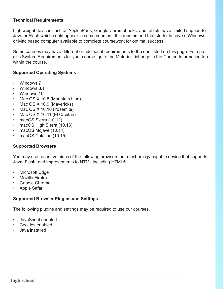#### **Technical Requirements**

Lightweight devices such as Apple iPads, Google Chromebooks, and tablets have limited support for Java or Flash which could appear in some courses. It is recommend that students have a Windows or Mac based computer available to complete coursework for optimal success.

Some courses may have different or additional requirements to the one listed on this page. For specific System Requirements for your course, go to the Material List page in the Course Information tab within the course.

#### **Supported Operating Systems**

- Windows 7
- Windows 8.1
- Windows 10
- Mac OS X 10.8 (Mountain Lion)
- Mac OS X 10.9 (Mavericks)
- Mac OS X 10.10 (Yosemite)
- Mac OS X 10.11 (El Capitan)
- macOS Sierra (10.12)
- macOS High Sierra (10.13)
- macOS Mojave (10.14)
- macOS Catalina (10.15)

#### **Supported Browsers**

You may use recent versions of the following browsers on a technology capable device that supports Java, Flash, and improvements to HTML including HTML5.

- Microsoft Edge
- Mozilla Firefox
- Google Chrome
- Apple Safari

# **Supported Browser Plugins and Settings**

The following plugins and settings may be required to use our courses.

- JavaScript enabled
- Cookies enabled
- Java installed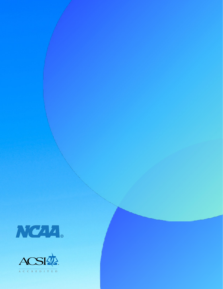